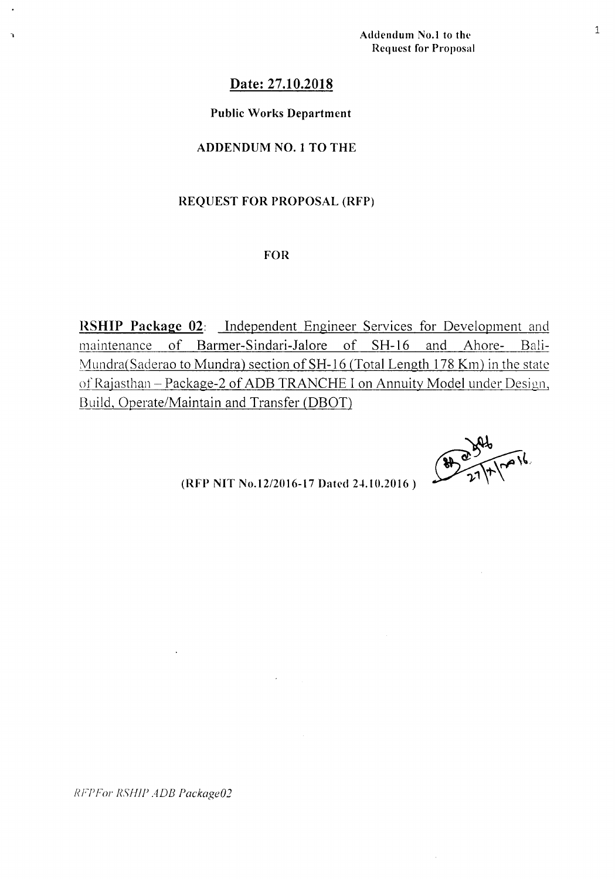Addendum No.1 to the Request for Proposal

 $8921110016$ 

# Date: 27.10.2018

### Public Works Department

## ADDENDUM NO.1 TO THE

### REQUEST FOR PROPOSAL (RFP)

#### FOR

RSHIP Package 02: Independent Engineer Services for Development and maintenance of Barmer-Sindari-Ialore of SH-16 and Ahore- Bali-Mundra(Saderao to Mundra) section of SH-16 (Total Length 178 Km) in the state of Rajasthan - Package-2 of ADB TRANCHE I on Annuity Model under Design, Build, Operate/Maintain and Transfer (DBOT)

 $(RFP NIT No.12/2016-17 Dated 24.10.2016)$ 

*RFPFor RSHIP ADB Package02*